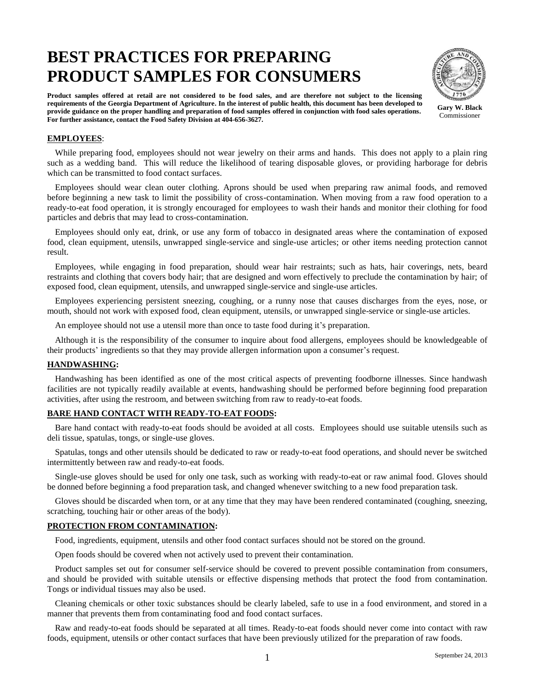# **BEST PRACTICES FOR PREPARING PRODUCT SAMPLES FOR CONSUMERS**



**Product samples offered at retail are not considered to be food sales, and are therefore not subject to the licensing requirements of the Georgia Department of Agriculture. In the interest of public health, this document has been developed to provide guidance on the proper handling and preparation of food samples offered in conjunction with food sales operations. For further assistance, contact the Food Safety Division at 404-656-3627.**

**Gary W. Black** Commissioner

## **EMPLOYEES**:

While preparing food, employees should not wear jewelry on their arms and hands. This does not apply to a plain ring such as a wedding band. This will reduce the likelihood of tearing disposable gloves, or providing harborage for debris which can be transmitted to food contact surfaces.

Employees should wear clean outer clothing. Aprons should be used when preparing raw animal foods, and removed before beginning a new task to limit the possibility of cross-contamination. When moving from a raw food operation to a ready-to-eat food operation, it is strongly encouraged for employees to wash their hands and monitor their clothing for food particles and debris that may lead to cross-contamination.

Employees should only eat, drink, or use any form of tobacco in designated areas where the contamination of exposed food, clean equipment, utensils, unwrapped single-service and single-use articles; or other items needing protection cannot result.

Employees, while engaging in food preparation, should wear hair restraints; such as hats, hair coverings, nets, beard restraints and clothing that covers body hair; that are designed and worn effectively to preclude the contamination by hair; of exposed food, clean equipment, utensils, and unwrapped single-service and single-use articles.

Employees experiencing persistent sneezing, coughing, or a runny nose that causes discharges from the eyes, nose, or mouth, should not work with exposed food, clean equipment, utensils, or unwrapped single-service or single-use articles.

An employee should not use a utensil more than once to taste food during it's preparation.

Although it is the responsibility of the consumer to inquire about food allergens, employees should be knowledgeable of their products' ingredients so that they may provide allergen information upon a consumer's request.

# **HANDWASHING:**

Handwashing has been identified as one of the most critical aspects of preventing foodborne illnesses. Since handwash facilities are not typically readily available at events, handwashing should be performed before beginning food preparation activities, after using the restroom, and between switching from raw to ready-to-eat foods.

# **BARE HAND CONTACT WITH READY-TO-EAT FOODS:**

Bare hand contact with ready-to-eat foods should be avoided at all costs. Employees should use suitable utensils such as deli tissue, spatulas, tongs, or single-use gloves.

Spatulas, tongs and other utensils should be dedicated to raw or ready-to-eat food operations, and should never be switched intermittently between raw and ready-to-eat foods.

Single-use gloves should be used for only one task, such as working with ready-to-eat or raw animal food. Gloves should be donned before beginning a food preparation task, and changed whenever switching to a new food preparation task.

Gloves should be discarded when torn, or at any time that they may have been rendered contaminated (coughing, sneezing, scratching, touching hair or other areas of the body).

#### **PROTECTION FROM CONTAMINATION:**

Food, ingredients, equipment, utensils and other food contact surfaces should not be stored on the ground.

Open foods should be covered when not actively used to prevent their contamination.

Product samples set out for consumer self-service should be covered to prevent possible contamination from consumers, and should be provided with suitable utensils or effective dispensing methods that protect the food from contamination. Tongs or individual tissues may also be used.

Cleaning chemicals or other toxic substances should be clearly labeled, safe to use in a food environment, and stored in a manner that prevents them from contaminating food and food contact surfaces.

Raw and ready-to-eat foods should be separated at all times. Ready-to-eat foods should never come into contact with raw foods, equipment, utensils or other contact surfaces that have been previously utilized for the preparation of raw foods.